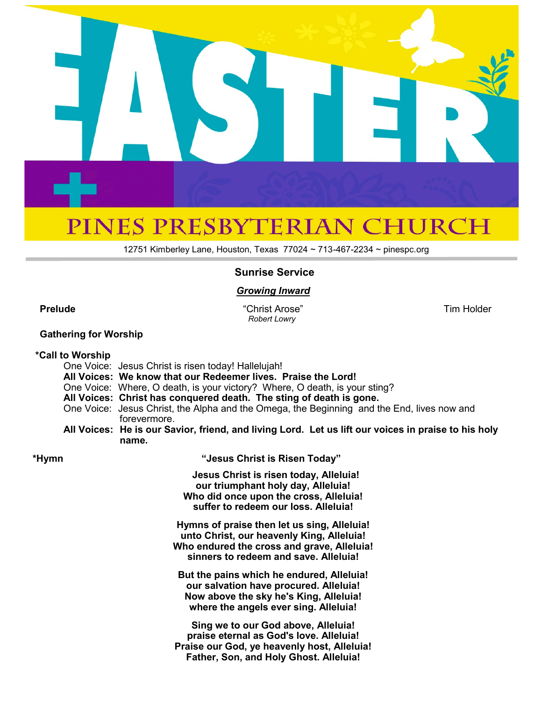

# PINES PRESBYTERIAN CHURCH

12751 Kimberley Lane, Houston, Texas 77024 ~ 713-467-2234 ~ pinespc.org

# **Sunrise Service**

### *Growing Inward*

 **Prelude** "Christ Arose" Tim Holder  *Robert Lowry*

 **Gathering for Worship**

**\*Call to Worship** 

- One Voice: Jesus Christ is risen today! Hallelujah!  **All Voices: We know that our Redeemer lives. Praise the Lord!** One Voice: Where, O death, is your victory? Where, O death, is your sting? **All Voices: Christ has conquered death. The sting of death is gone.** One Voice: Jesus Christ, the Alpha and the Omega, the Beginning and the End, lives now and forevermore.
- **All Voices: He is our Savior, friend, and living Lord. Let us lift our voices in praise to his holy name.**

**\*Hymn "Jesus Christ is Risen Today"** 

 **Jesus Christ is risen today, Alleluia! our triumphant holy day, Alleluia! Who did once upon the cross, Alleluia! suffer to redeem our loss. Alleluia!**

**Hymns of praise then let us sing, Alleluia! unto Christ, our heavenly King, Alleluia! Who endured the cross and grave, Alleluia! sinners to redeem and save. Alleluia!**

**But the pains which he endured, Alleluia! our salvation have procured. Alleluia! Now above the sky he's King, Alleluia! where the angels ever sing. Alleluia!**

**Sing we to our God above, Alleluia! praise eternal as God's love. Alleluia! Praise our God, ye heavenly host, Alleluia! Father, Son, and Holy Ghost. Alleluia!**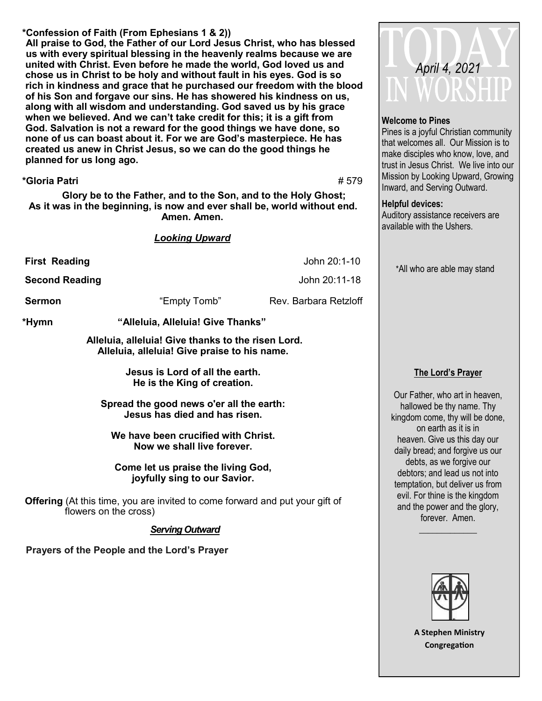# **\*Confession of Faith (From Ephesians 1 & 2))**

**All praise to God, the Father of our Lord Jesus Christ, who has blessed us with every spiritual blessing in the heavenly realms because we are united with Christ. Even before he made the world, God loved us and chose us in Christ to be holy and without fault in his eyes. God is so rich in kindness and grace that he purchased our freedom with the blood of his Son and forgave our sins. He has showered his kindness on us, along with all wisdom and understanding. God saved us by his grace when we believed. And we can't take credit for this; it is a gift from God. Salvation is not a reward for the good things we have done, so none of us can boast about it. For we are God's masterpiece. He has created us anew in Christ Jesus, so we can do the good things he planned for us long ago.**

| *Gloria Patri | #579 |
|---------------|------|
|               |      |

**Glory be to the Father, and to the Son, and to the Holy Ghost; As it was in the beginning, is now and ever shall be, world without end. Amen. Amen.** 

### *Looking Upward*

 **First Reading** John 20:1-<sup>10</sup>

**Second Reading**   $J$  **John 20:11-18** 

**Sermon EMPLA "Empty Tomb"** Rev. Barbara Retzloff

**\*Hymn "Alleluia, Alleluia! Give Thanks"**

**Alleluia, alleluia! Give thanks to the risen Lord. Alleluia, alleluia! Give praise to his name.**

> **Jesus is Lord of all the earth. He is the King of creation.**

**Spread the good news o'er all the earth: Jesus has died and has risen.**

**We have been crucified with Christ. Now we shall live forever.**

**Come let us praise the living God, joyfully sing to our Savior.**

**Offering** (At this time, you are invited to come forward and put your gift of flowers on the cross)

 *Serving Outward*

**Prayers of the People and the Lord's Prayer**



## **Welcome to Pines**

Pines is a joyful Christian community that welcomes all. Our Mission is to make disciples who know, love, and trust in Jesus Christ. We live into our Mission by Looking Upward, Growing Inward, and Serving Outward.

### **Helpful devices:**

Auditory assistance receivers are available with the Ushers.

\*All who are able may stand

# **The Lord's Prayer**

Our Father, who art in heaven, hallowed be thy name. Thy kingdom come, thy will be done, on earth as it is in heaven. Give us this day our daily bread; and forgive us our debts, as we forgive our debtors; and lead us not into temptation, but deliver us from evil. For thine is the kingdom and the power and the glory, forever. Amen.

 $\overline{\phantom{a}}$  , where  $\overline{\phantom{a}}$ 



**A Stephen Ministry Congregation**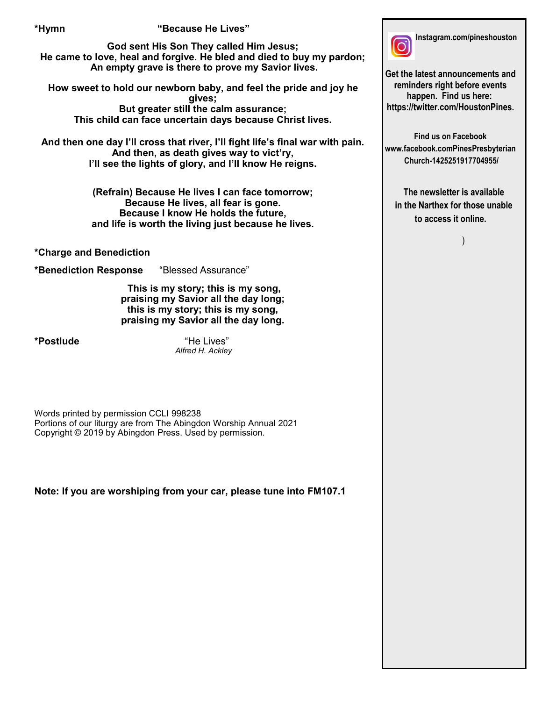**\*Hymn "Because He Lives"** 

**God sent His Son They called Him Jesus; He came to love, heal and forgive. He bled and died to buy my pardon; An empty grave is there to prove my Savior lives.**

**How sweet to hold our newborn baby, and feel the pride and joy he gives; But greater still the calm assurance;** 

**This child can face uncertain days because Christ lives. And then one day I'll cross that river, I'll fight life's final war with pain.** 

**And then, as death gives way to vict'ry, I'll see the lights of glory, and I'll know He reigns.**

> **(Refrain) Because He lives I can face tomorrow; Because He lives, all fear is gone. Because I know He holds the future, and life is worth the living just because he lives.**

**\*Charge and Benediction**

**\*Benediction Response** "Blessed Assurance"

**This is my story; this is my song, praising my Savior all the day long; this is my story; this is my song, praising my Savior all the day long.**

**\*Postlude** "He Lives" *Alfred H. Ackley*

Words printed by permission CCLI 998238 Portions of our liturgy are from The Abingdon Worship Annual 2021 Copyright © 2019 by Abingdon Press. Used by permission.

**Note: If you are worshiping from your car, please tune into FM107.1**



**Instagram.com/pineshouston** 

**Get the latest announcements and reminders right before events happen.** Find us here: https://twitter.com/HoustonPines.

j

I I **www.facebook.comPinesPresbyterian Find us on Facebook Church-1425251917704955/**

 **The newsletter is available in the Narthex for those unable to access it online.**

 $\rightarrow$  **)**